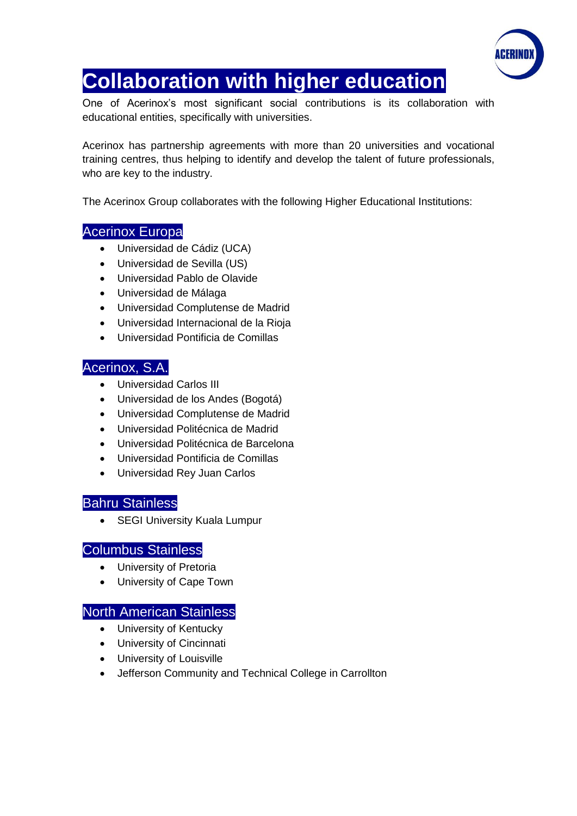

# **Collaboration with higher education**

One of Acerinox's most significant social contributions is its collaboration with educational entities, specifically with universities.

Acerinox has partnership agreements with more than 20 universities and vocational training centres, thus helping to identify and develop the talent of future professionals, who are key to the industry.

The Acerinox Group collaborates with the following Higher Educational Institutions:

# Acerinox Europa

- Universidad de Cádiz (UCA)
- Universidad de Sevilla (US)
- Universidad Pablo de Olavide
- Universidad de Málaga
- Universidad Complutense de Madrid
- Universidad Internacional de la Rioja
- Universidad Pontificia de Comillas

## Acerinox, S.A.

- Universidad Carlos III
- Universidad de los Andes (Bogotá)
- Universidad Complutense de Madrid
- Universidad Politécnica de Madrid
- Universidad Politécnica de Barcelona
- Universidad Pontificia de Comillas
- Universidad Rey Juan Carlos

## Bahru Stainless

• SEGI University Kuala Lumpur

#### Columbus Stainless

- University of Pretoria
- University of Cape Town

## North American Stainless

- University of Kentucky
- University of Cincinnati
- University of Louisville
- Jefferson Community and Technical College in Carrollton